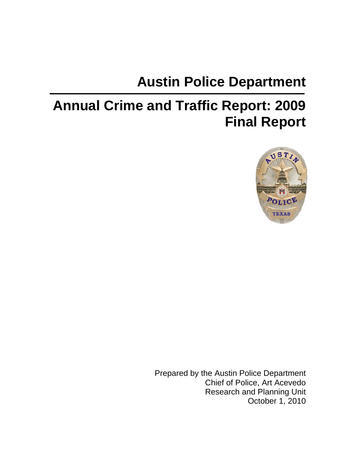# **Austin Police Department**

# **Annual Crime and Traffic Report: 2009 Final Report**



Prepared by the Austin Police Department Chief of Police, Art Acevedo Research and Planning Unit October 1, 2010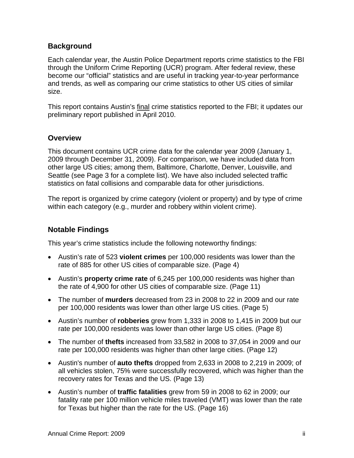#### **Background**

Each calendar year, the Austin Police Department reports crime statistics to the FBI through the Uniform Crime Reporting (UCR) program. After federal review, these become our "official" statistics and are useful in tracking year-to-year performance and trends, as well as comparing our crime statistics to other US cities of similar size.

This report contains Austin's final crime statistics reported to the FBI; it updates our preliminary report published in April 2010.

#### **Overview**

This document contains UCR crime data for the calendar year 2009 (January 1, 2009 through December 31, 2009). For comparison, we have included data from other large US cities; among them, Baltimore, Charlotte, Denver, Louisville, and Seattle (see Page 3 for a complete list). We have also included selected traffic statistics on fatal collisions and comparable data for other jurisdictions.

The report is organized by crime category (violent or property) and by type of crime within each category (e.g., murder and robbery within violent crime).

#### **Notable Findings**

This year's crime statistics include the following noteworthy findings:

- Austin's rate of 523 **violent crimes** per 100,000 residents was lower than the rate of 885 for other US cities of comparable size. (Page 4)
- Austin's **property crime rate** of 6,245 per 100,000 residents was higher than the rate of 4,900 for other US cities of comparable size. (Page 11)
- The number of **murders** decreased from 23 in 2008 to 22 in 2009 and our rate per 100,000 residents was lower than other large US cities. (Page 5)
- Austin's number of **robberies** grew from 1,333 in 2008 to 1,415 in 2009 but our rate per 100,000 residents was lower than other large US cities. (Page 8)
- The number of **thefts** increased from 33,582 in 2008 to 37,054 in 2009 and our rate per 100,000 residents was higher than other large cities. (Page 12)
- Austin's number of **auto thefts** dropped from 2,633 in 2008 to 2,219 in 2009; of all vehicles stolen, 75% were successfully recovered, which was higher than the recovery rates for Texas and the US. (Page 13)
- Austin's number of **traffic fatalities** grew from 59 in 2008 to 62 in 2009; our fatality rate per 100 million vehicle miles traveled (VMT) was lower than the rate for Texas but higher than the rate for the US. (Page 16)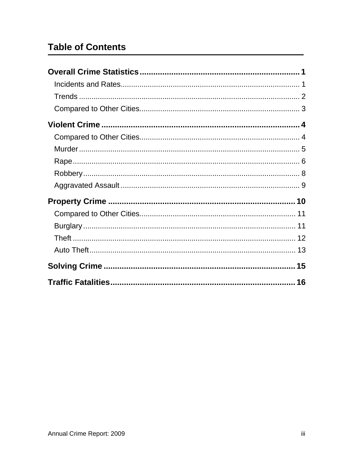# **Table of Contents**

| 16 |
|----|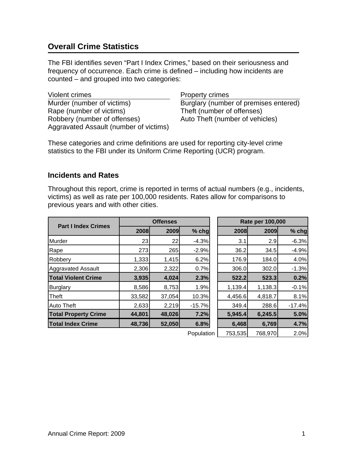# <span id="page-3-0"></span>**Overall Crime Statistics**

The FBI identifies seven "Part I Index Crimes," based on their seriousness and frequency of occurrence. Each crime is defined – including how incidents are counted – and grouped into two categories:

Violent crimes **Property crimes** Murder (number of victims) Burglary (number of premises entered) Rape (number of victims) Theft (number of offenses) Robbery (number of offenses) Auto Theft (number of vehicles) Aggravated Assault (number of victims)

These categories and crime definitions are used for reporting city-level crime statistics to the FBI under its Uniform Crime Reporting (UCR) program.

#### <span id="page-3-1"></span>**Incidents and Rates**

Throughout this report, crime is reported in terms of actual numbers (e.g., incidents, victims) as well as rate per 100,000 residents. Rates allow for comparisons to previous years and with other cities.

| <b>Part I Index Crimes</b>  | <b>Offenses</b> |        |            | Rate per 100,000 |         |          |  |
|-----------------------------|-----------------|--------|------------|------------------|---------|----------|--|
|                             | 2008            | 2009   | $%$ chg    | 2008             | 2009    | $%$ chg  |  |
| Murder                      | 23              | 22     | $-4.3%$    | 3.1              | 2.9     | $-6.3%$  |  |
| Rape                        | 273             | 265    | $-2.9%$    | 36.2             | 34.5    | $-4.9%$  |  |
| Robbery                     | 1,333           | 1,415  | 6.2%       | 176.9            | 184.0   | 4.0%     |  |
| <b>Aggravated Assault</b>   | 2,306           | 2,322  | 0.7%       | 306.0            | 302.0   | $-1.3%$  |  |
| <b>Total Violent Crime</b>  | 3,935           | 4,024  | 2.3%       | 522.2            | 523.3   | 0.2%     |  |
| Burglary                    | 8,586           | 8,753  | 1.9%       | 1,139.4          | 1,138.3 | $-0.1%$  |  |
| <b>Theft</b>                | 33,582          | 37,054 | 10.3%      | 4,456.6          | 4,818.7 | 8.1%     |  |
| <b>Auto Theft</b>           | 2,633           | 2,219  | $-15.7%$   | 349.4            | 288.6   | $-17.4%$ |  |
| <b>Total Property Crime</b> | 44,801          | 48,026 | 7.2%       | 5,945.4          | 6,245.5 | 5.0%     |  |
| <b>Total Index Crime</b>    | 48,736          | 52,050 | 6.8%       | 6,468            | 6,769   | 4.7%     |  |
|                             |                 |        | Population | 753,535          | 768,970 | 2.0%     |  |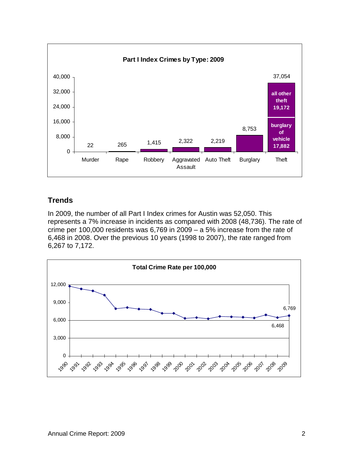

#### <span id="page-4-0"></span>**Trends**

In 2009, the number of all Part I Index crimes for Austin was 52,050. This represents a 7% increase in incidents as compared with 2008 (48,736). The rate of crime per 100,000 residents was 6,769 in 2009 – a 5% increase from the rate of 6,468 in 2008. Over the previous 10 years (1998 to 2007), the rate ranged from 6,267 to 7,172.

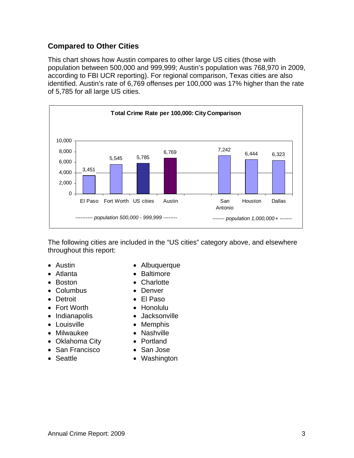#### <span id="page-5-0"></span>**Compared to Other Cities**

This chart shows how Austin compares to other large US cities (those with population between 500,000 and 999,999; Austin's population was 768,970 in 2009, according to FBI UCR reporting). For regional comparison, Texas cities are also identified. Austin's rate of 6,769 offenses per 100,000 was 17% higher than the rate of 5,785 for all large US cities.



The following cities are included in the "US cities" category above, and elsewhere throughout this report:

- 
- 
- 
- Columbus Denver
- 
- Fort Worth Honolulu
- 
- Louisville Memphis
- Milwaukee **· Nashville**
- Oklahoma City Portland
- San Francisco San Jose
- 
- Austin  **Albuquerque**
- Atlanta  **Baltimore**
- Boston  **Charlotte** 
	-
- Detroit El Paso
	-
- Indianapolis **·** Jacksonville
	-
	-
	-
	-
- Seattle **Contract Contract Contract Contract Contract Contract Contract Contract Contract Contract Contract Contract Contract Contract Contract Contract Contract Contract Contract Contract Contract Contract Contract Cont**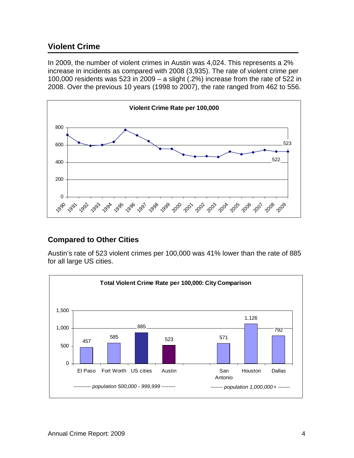### <span id="page-6-0"></span>**Violent Crime**

In 2009, the number of violent crimes in Austin was 4,024. This represents a 2% increase in incidents as compared with 2008 (3,935). The rate of violent crime per 100,000 residents was 523 in 2009 – a slight (.2%) increase from the rate of 522 in 2008. Over the previous 10 years (1998 to 2007), the rate ranged from 462 to 556.



#### <span id="page-6-1"></span>**Compared to Other Cities**

Austin's rate of 523 violent crimes per 100,000 was 41% lower than the rate of 885 for all large US cities.

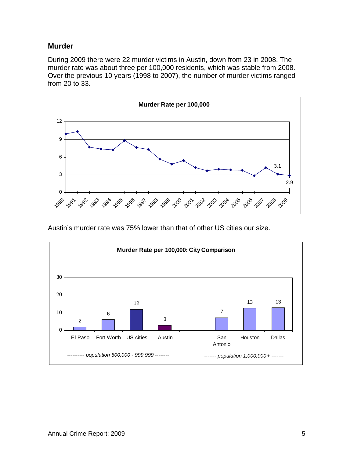#### <span id="page-7-0"></span>**Murder**

During 2009 there were 22 murder victims in Austin, down from 23 in 2008. The murder rate was about three per 100,000 residents, which was stable from 2008. Over the previous 10 years (1998 to 2007), the number of murder victims ranged from 20 to 33.



Austin's murder rate was 75% lower than that of other US cities our size.

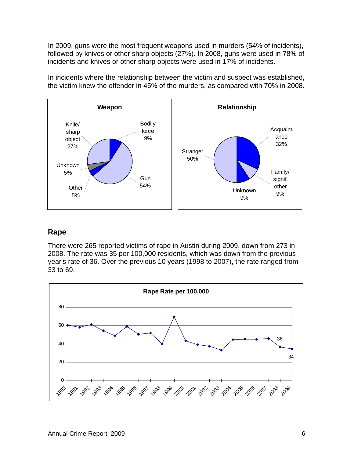In 2009, guns were the most frequent weapons used in murders (54% of incidents), followed by knives or other sharp objects (27%). In 2008, guns were used in 78% of incidents and knives or other sharp objects were used in 17% of incidents.

In incidents where the relationship between the victim and suspect was established, the victim knew the offender in 45% of the murders, as compared with 70% in 2008.



#### <span id="page-8-0"></span>**Rape**

There were 265 reported victims of rape in Austin during 2009, down from 273 in 2008. The rate was 35 per 100,000 residents, which was down from the previous year's rate of 36. Over the previous 10 years (1998 to 2007), the rate ranged from 33 to 69.

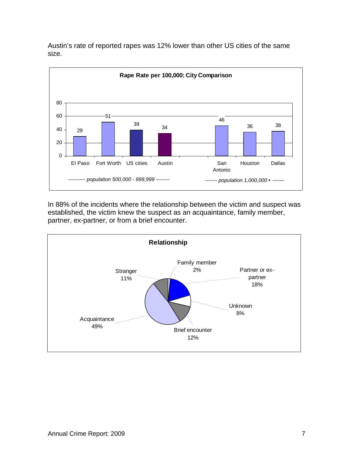

Austin's rate of reported rapes was 12% lower than other US cities of the same size.

In 88% of the incidents where the relationship between the victim and suspect was established, the victim knew the suspect as an acquaintance, family member, partner, ex-partner, or from a brief encounter.

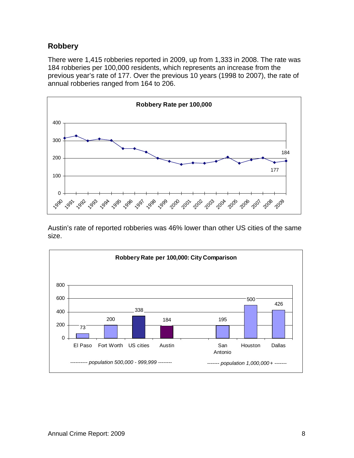#### <span id="page-10-0"></span>**Robbery**

There were 1,415 robberies reported in 2009, up from 1,333 in 2008. The rate was 184 robberies per 100,000 residents, which represents an increase from the previous year's rate of 177. Over the previous 10 years (1998 to 2007), the rate of annual robberies ranged from 164 to 206.



Austin's rate of reported robberies was 46% lower than other US cities of the same size.

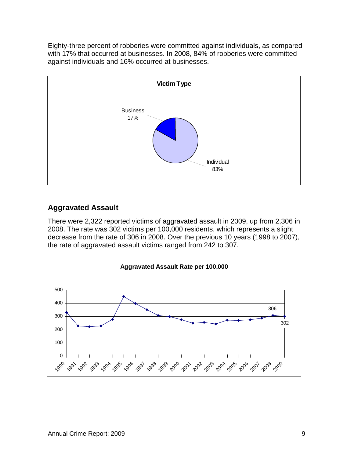Eighty-three percent of robberies were committed against individuals, as compared with 17% that occurred at businesses. In 2008, 84% of robberies were committed against individuals and 16% occurred at businesses.



# <span id="page-11-0"></span>**Aggravated Assault**

There were 2,322 reported victims of aggravated assault in 2009, up from 2,306 in 2008. The rate was 302 victims per 100,000 residents, which represents a slight decrease from the rate of 306 in 2008. Over the previous 10 years (1998 to 2007), the rate of aggravated assault victims ranged from 242 to 307.

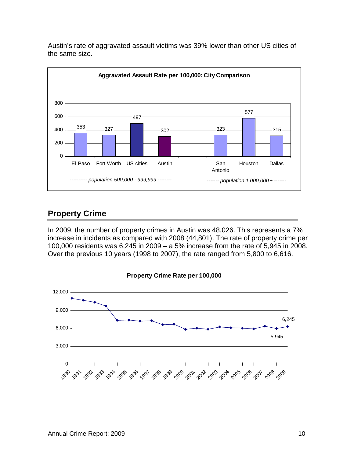

Austin's rate of aggravated assault victims was 39% lower than other US cities of the same size.

# <span id="page-12-0"></span>**Property Crime**

In 2009, the number of property crimes in Austin was 48,026. This represents a 7% increase in incidents as compared with 2008 (44,801). The rate of property crime per 100,000 residents was 6,245 in 2009 – a 5% increase from the rate of 5,945 in 2008. Over the previous 10 years (1998 to 2007), the rate ranged from 5,800 to 6,616.

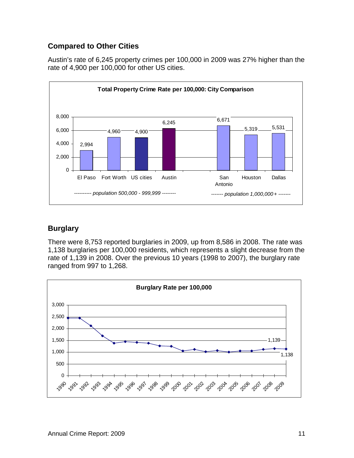#### <span id="page-13-0"></span>**Compared to Other Cities**

Austin's rate of 6,245 property crimes per 100,000 in 2009 was 27% higher than the rate of 4,900 per 100,000 for other US cities.



### <span id="page-13-1"></span>**Burglary**

There were 8,753 reported burglaries in 2009, up from 8,586 in 2008. The rate was 1,138 burglaries per 100,000 residents, which represents a slight decrease from the rate of 1,139 in 2008. Over the previous 10 years (1998 to 2007), the burglary rate ranged from 997 to 1,268.

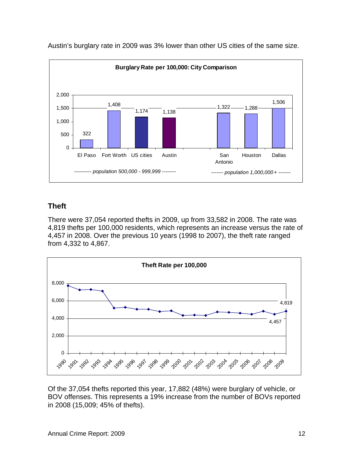

Austin's burglary rate in 2009 was 3% lower than other US cities of the same size.

#### <span id="page-14-0"></span>**Theft**

There were 37,054 reported thefts in 2009, up from 33,582 in 2008. The rate was 4,819 thefts per 100,000 residents, which represents an increase versus the rate of 4,457 in 2008. Over the previous 10 years (1998 to 2007), the theft rate ranged from 4,332 to 4,867.



Of the 37,054 thefts reported this year, 17,882 (48%) were burglary of vehicle, or BOV offenses. This represents a 19% increase from the number of BOVs reported in 2008 (15,009; 45% of thefts).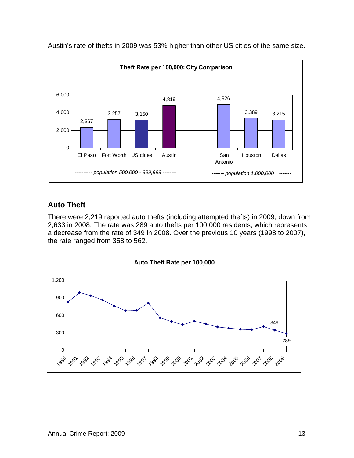

Austin's rate of thefts in 2009 was 53% higher than other US cities of the same size.

#### <span id="page-15-0"></span>**Auto Theft**

There were 2,219 reported auto thefts (including attempted thefts) in 2009, down from 2,633 in 2008. The rate was 289 auto thefts per 100,000 residents, which represents a decrease from the rate of 349 in 2008. Over the previous 10 years (1998 to 2007), the rate ranged from 358 to 562.

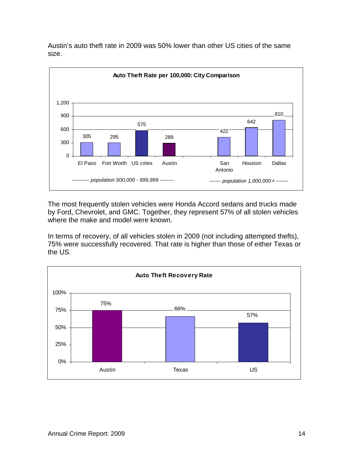

Austin's auto theft rate in 2009 was 50% lower than other US cities of the same size.

The most frequently stolen vehicles were Honda Accord sedans and trucks made by Ford, Chevrolet, and GMC. Together, they represent 57% of all stolen vehicles where the make and model were known.

In terms of recovery, of all vehicles stolen in 2009 (not including attempted thefts), 75% were successfully recovered. That rate is higher than those of either Texas or the US.

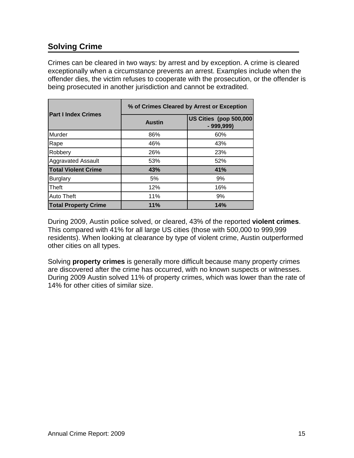# <span id="page-17-0"></span>**Solving Crime**

Crimes can be cleared in two ways: by arrest and by exception. A crime is cleared exceptionally when a circumstance prevents an arrest. Examples include when the offender dies, the victim refuses to cooperate with the prosecution, or the offender is being prosecuted in another jurisdiction and cannot be extradited.

|                             | % of Crimes Cleared by Arrest or Exception |                                       |  |  |  |  |
|-----------------------------|--------------------------------------------|---------------------------------------|--|--|--|--|
| <b>Part I Index Crimes</b>  | <b>Austin</b>                              | US Cities (pop 500,000<br>$-999,999)$ |  |  |  |  |
| Murder                      | 86%                                        | 60%                                   |  |  |  |  |
| Rape                        | 46%                                        | 43%                                   |  |  |  |  |
| Robbery                     | 26%                                        | 23%                                   |  |  |  |  |
| <b>Aggravated Assault</b>   | 53%                                        | 52%                                   |  |  |  |  |
| <b>Total Violent Crime</b>  | 43%                                        | 41%                                   |  |  |  |  |
| <b>Burglary</b>             | 5%                                         | 9%                                    |  |  |  |  |
| Theft                       | 12%                                        | 16%                                   |  |  |  |  |
| <b>Auto Theft</b>           | 11%                                        | 9%                                    |  |  |  |  |
| <b>Total Property Crime</b> | 11%                                        | 14%                                   |  |  |  |  |

During 2009, Austin police solved, or cleared, 43% of the reported **violent crimes**. This compared with 41% for all large US cities (those with 500,000 to 999,999 residents). When looking at clearance by type of violent crime, Austin outperformed other cities on all types.

Solving **property crimes** is generally more difficult because many property crimes are discovered after the crime has occurred, with no known suspects or witnesses. During 2009 Austin solved 11% of property crimes, which was lower than the rate of 14% for other cities of similar size.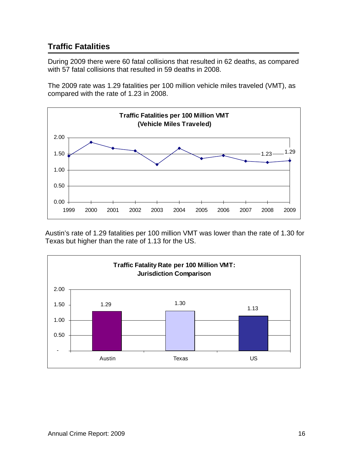# <span id="page-18-0"></span>**Traffic Fatalities**

During 2009 there were 60 fatal collisions that resulted in 62 deaths, as compared with 57 fatal collisions that resulted in 59 deaths in 2008.

The 2009 rate was 1.29 fatalities per 100 million vehicle miles traveled (VMT), as compared with the rate of 1.23 in 2008.



Austin's rate of 1.29 fatalities per 100 million VMT was lower than the rate of 1.30 for Texas but higher than the rate of 1.13 for the US.

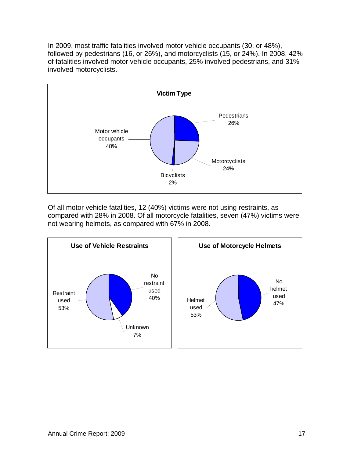In 2009, most traffic fatalities involved motor vehicle occupants (30, or 48%), followed by pedestrians (16, or 26%), and motorcyclists (15, or 24%). In 2008, 42% of fatalities involved motor vehicle occupants, 25% involved pedestrians, and 31% involved motorcyclists.



Of all motor vehicle fatalities, 12 (40%) victims were not using restraints, as compared with 28% in 2008. Of all motorcycle fatalities, seven (47%) victims were not wearing helmets, as compared with 67% in 2008.

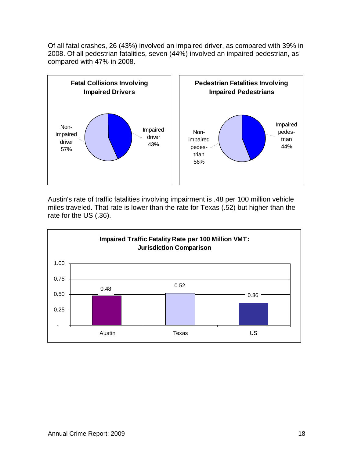Of all fatal crashes, 26 (43%) involved an impaired driver, as compared with 39% in 2008. Of all pedestrian fatalities, seven (44%) involved an impaired pedestrian, as compared with 47% in 2008.



Austin's rate of traffic fatalities involving impairment is .48 per 100 million vehicle miles traveled. That rate is lower than the rate for Texas (.52) but higher than the rate for the US (.36).